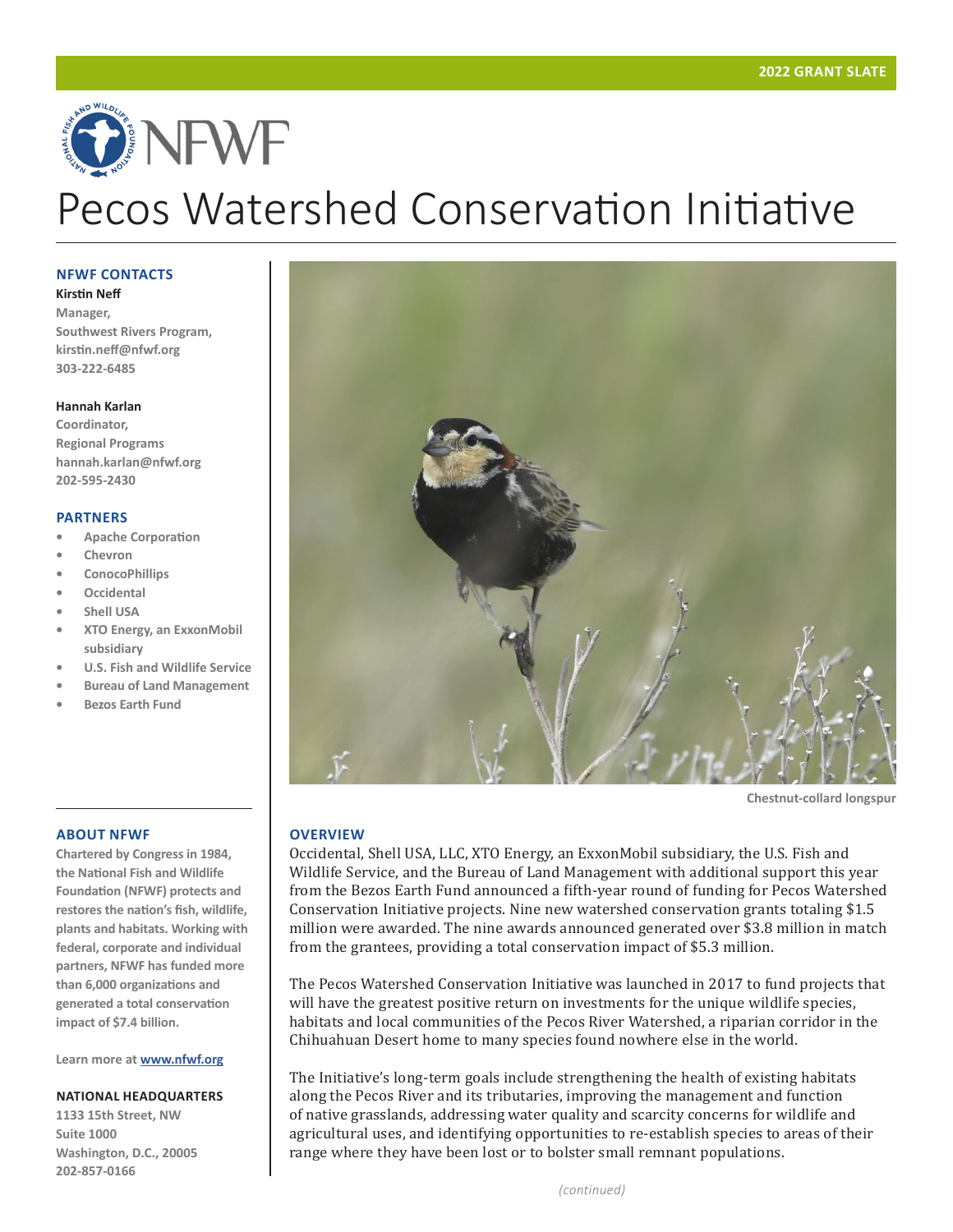# ONEWE Pecos Watershed Conservation Initiative

#### **NFWF CONTACTS**

**Kirstin Neff**

**Manager, Southwest Rivers Program, kirstin.neff@nfwf.org 303-222-6485**

#### **Hannah Karlan**

**Coordinator, Regional Programs hannah.karlan@nfwf.org 202-595-2430**

#### **PARTNERS**

- **• Apache Corporation**
- **• Chevron**
- **• ConocoPhillips**
- **• Occidental**
- **• Shell USA**
- **• XTO Energy, an ExxonMobil subsidiary**
- **• U.S. Fish and Wildlife Service**
- **• Bureau of Land Management**
- **• Bezos Earth Fund**

#### **ABOUT NFWF**

**Chartered by Congress in 1984, the National Fish and Wildlife Foundation (NFWF) protects and restores the nation's fish, wildlife, plants and habitats. Working with federal, corporate and individual partners, NFWF has funded more than 6,000 organizations and generated a total conservation impact of \$7.4 billion.** 

**Learn more at www.nfwf.org**

#### **NATIONAL HEADQUARTERS**

**1133 15th Street, NW Suite 1000 Washington, D.C., 20005 202-857-0166**



**Chestnut-collard longspur**

#### **OVERVIEW**

Occidental, Shell USA, LLC, XTO Energy, an ExxonMobil subsidiary, the U.S. Fish and Wildlife Service, and the Bureau of Land Management with additional support this year from the Bezos Earth Fund announced a fifth-year round of funding for Pecos Watershed Conservation Initiative projects. Nine new watershed conservation grants totaling \$1.5 million were awarded. The nine awards announced generated over \$3.8 million in match from the grantees, providing a total conservation impact of \$5.3 million.

The Pecos Watershed Conservation Initiative was launched in 2017 to fund projects that will have the greatest positive return on investments for the unique wildlife species, habitats and local communities of the Pecos River Watershed, a riparian corridor in the Chihuahuan Desert home to many species found nowhere else in the world.

The Initiative's long-term goals include strengthening the health of existing habitats along the Pecos River and its tributaries, improving the management and function of native grasslands, addressing water quality and scarcity concerns for wildlife and agricultural uses, and identifying opportunities to re-establish species to areas of their range where they have been lost or to bolster small remnant populations.